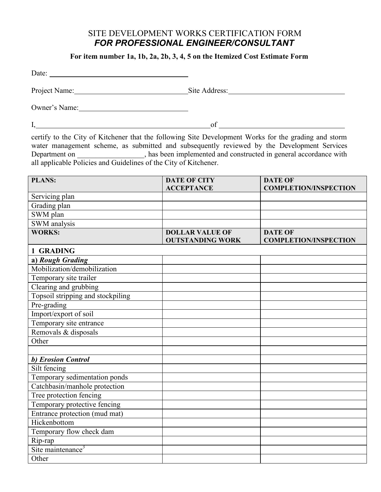## SITE DEVELOPMENT WORKS CERTIFICATION FORM  *FOR PROFESSIONAL ENGINEER/CONSULTANT*

**For item number 1a, 1b, 2a, 2b, 3, 4, 5 on the Itemized Cost Estimate Form**

| Project Name: Site Address:                                                                                                                                                                                                                                                                                                                                         |                                                                                                                                                                                                                                      |                                                |
|---------------------------------------------------------------------------------------------------------------------------------------------------------------------------------------------------------------------------------------------------------------------------------------------------------------------------------------------------------------------|--------------------------------------------------------------------------------------------------------------------------------------------------------------------------------------------------------------------------------------|------------------------------------------------|
|                                                                                                                                                                                                                                                                                                                                                                     |                                                                                                                                                                                                                                      |                                                |
|                                                                                                                                                                                                                                                                                                                                                                     |                                                                                                                                                                                                                                      | $of$ $\overline{\phantom{a}}$                  |
| certify to the City of Kitchener that the following Site Development Works for the grading and storm<br>water management scheme, as submitted and subsequently reviewed by the Development Services<br>Department on ____________, has been implemented and constructed in general accordance with all applicable Policies and Guidelines of the City of Kitchener. |                                                                                                                                                                                                                                      |                                                |
| <b>PLANS:</b>                                                                                                                                                                                                                                                                                                                                                       | <b>DATE OF CITY</b><br><b>ACCEPTANCE</b>                                                                                                                                                                                             | <b>DATE OF</b><br><b>COMPLETION/INSPECTION</b> |
| Servicing plan                                                                                                                                                                                                                                                                                                                                                      |                                                                                                                                                                                                                                      |                                                |
| Grading plan                                                                                                                                                                                                                                                                                                                                                        |                                                                                                                                                                                                                                      |                                                |
| SWM plan                                                                                                                                                                                                                                                                                                                                                            |                                                                                                                                                                                                                                      |                                                |
| SWM analysis                                                                                                                                                                                                                                                                                                                                                        |                                                                                                                                                                                                                                      |                                                |
| <b>WORKS:</b>                                                                                                                                                                                                                                                                                                                                                       | <b>DOLLAR VALUE OF</b><br><b>OUTSTANDING WORK</b>                                                                                                                                                                                    | <b>DATE OF</b><br><b>COMPLETION/INSPECTION</b> |
| 1 GRADING                                                                                                                                                                                                                                                                                                                                                           |                                                                                                                                                                                                                                      |                                                |
| a) Rough Grading                                                                                                                                                                                                                                                                                                                                                    |                                                                                                                                                                                                                                      |                                                |
| Mobilization/demobilization                                                                                                                                                                                                                                                                                                                                         |                                                                                                                                                                                                                                      |                                                |
| Temporary site trailer                                                                                                                                                                                                                                                                                                                                              |                                                                                                                                                                                                                                      |                                                |
| Clearing and grubbing                                                                                                                                                                                                                                                                                                                                               | <u>and the state of the state of the state of the state of the state of the state of the state of the state of the state of the state of the state of the state of the state of the state of the state of the state of the state</u> |                                                |
| Topsoil stripping and stockpiling                                                                                                                                                                                                                                                                                                                                   |                                                                                                                                                                                                                                      |                                                |
| Pre-grading                                                                                                                                                                                                                                                                                                                                                         |                                                                                                                                                                                                                                      |                                                |
| Import/export of soil                                                                                                                                                                                                                                                                                                                                               |                                                                                                                                                                                                                                      |                                                |
| Temporary site entrance                                                                                                                                                                                                                                                                                                                                             |                                                                                                                                                                                                                                      |                                                |
| Removals & disposals                                                                                                                                                                                                                                                                                                                                                |                                                                                                                                                                                                                                      |                                                |
| Other                                                                                                                                                                                                                                                                                                                                                               |                                                                                                                                                                                                                                      |                                                |
|                                                                                                                                                                                                                                                                                                                                                                     |                                                                                                                                                                                                                                      |                                                |
| b) Erosion Control                                                                                                                                                                                                                                                                                                                                                  |                                                                                                                                                                                                                                      |                                                |
| Silt fencing                                                                                                                                                                                                                                                                                                                                                        |                                                                                                                                                                                                                                      |                                                |
| Temporary sedimentation ponds                                                                                                                                                                                                                                                                                                                                       |                                                                                                                                                                                                                                      |                                                |
| Catchbasin/manhole protection                                                                                                                                                                                                                                                                                                                                       |                                                                                                                                                                                                                                      |                                                |
| Tree protection fencing                                                                                                                                                                                                                                                                                                                                             |                                                                                                                                                                                                                                      |                                                |
| Temporary protective fencing                                                                                                                                                                                                                                                                                                                                        |                                                                                                                                                                                                                                      |                                                |
| Entrance protection (mud mat)                                                                                                                                                                                                                                                                                                                                       |                                                                                                                                                                                                                                      |                                                |
| Hickenbottom                                                                                                                                                                                                                                                                                                                                                        |                                                                                                                                                                                                                                      |                                                |
| Temporary flow check dam                                                                                                                                                                                                                                                                                                                                            |                                                                                                                                                                                                                                      |                                                |
| Rip-rap                                                                                                                                                                                                                                                                                                                                                             |                                                                                                                                                                                                                                      |                                                |
| Site maintenance <sup>3</sup>                                                                                                                                                                                                                                                                                                                                       |                                                                                                                                                                                                                                      |                                                |
| Other                                                                                                                                                                                                                                                                                                                                                               |                                                                                                                                                                                                                                      |                                                |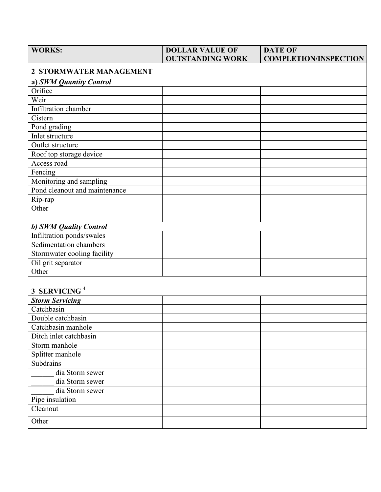| <b>WORKS:</b>                  | <b>DOLLAR VALUE OF</b><br><b>OUTSTANDING WORK</b> | <b>DATE OF</b><br><b>COMPLETION/INSPECTION</b> |  |  |
|--------------------------------|---------------------------------------------------|------------------------------------------------|--|--|
| <b>2 STORMWATER MANAGEMENT</b> |                                                   |                                                |  |  |
| a) SWM Quantity Control        |                                                   |                                                |  |  |
| Orifice                        |                                                   |                                                |  |  |
| Weir                           |                                                   |                                                |  |  |
| Infiltration chamber           |                                                   |                                                |  |  |
| Cistern                        |                                                   |                                                |  |  |
| Pond grading                   |                                                   |                                                |  |  |
| Inlet structure                |                                                   |                                                |  |  |
| Outlet structure               |                                                   |                                                |  |  |
| Roof top storage device        |                                                   |                                                |  |  |
| Access road                    |                                                   |                                                |  |  |
| Fencing                        |                                                   |                                                |  |  |
| Monitoring and sampling        |                                                   |                                                |  |  |
| Pond cleanout and maintenance  |                                                   |                                                |  |  |
| Rip-rap                        |                                                   |                                                |  |  |
| Other                          |                                                   |                                                |  |  |
|                                |                                                   |                                                |  |  |
| b) SWM Quality Control         |                                                   |                                                |  |  |
| Infiltration ponds/swales      |                                                   |                                                |  |  |
| Sedimentation chambers         |                                                   |                                                |  |  |
| Stormwater cooling facility    |                                                   |                                                |  |  |
| Oil grit separator             |                                                   |                                                |  |  |
| Other                          |                                                   |                                                |  |  |
|                                |                                                   |                                                |  |  |
| 3 SERVICING <sup>4</sup>       |                                                   |                                                |  |  |
| <b>Storm Servicing</b>         |                                                   |                                                |  |  |
| Catchbasin                     |                                                   |                                                |  |  |
| Double catchbasin              |                                                   |                                                |  |  |
| Catchbasin manhole             |                                                   |                                                |  |  |
| Ditch inlet catchbasin         |                                                   |                                                |  |  |
| Storm manhole                  |                                                   |                                                |  |  |
| Splitter manhole               |                                                   |                                                |  |  |
| Subdrains                      |                                                   |                                                |  |  |
| dia Storm sewer                |                                                   |                                                |  |  |
| dia Storm sewer                |                                                   |                                                |  |  |
| dia Storm sewer                |                                                   |                                                |  |  |
| Pipe insulation                |                                                   |                                                |  |  |
| Cleanout                       |                                                   |                                                |  |  |
| Other                          |                                                   |                                                |  |  |